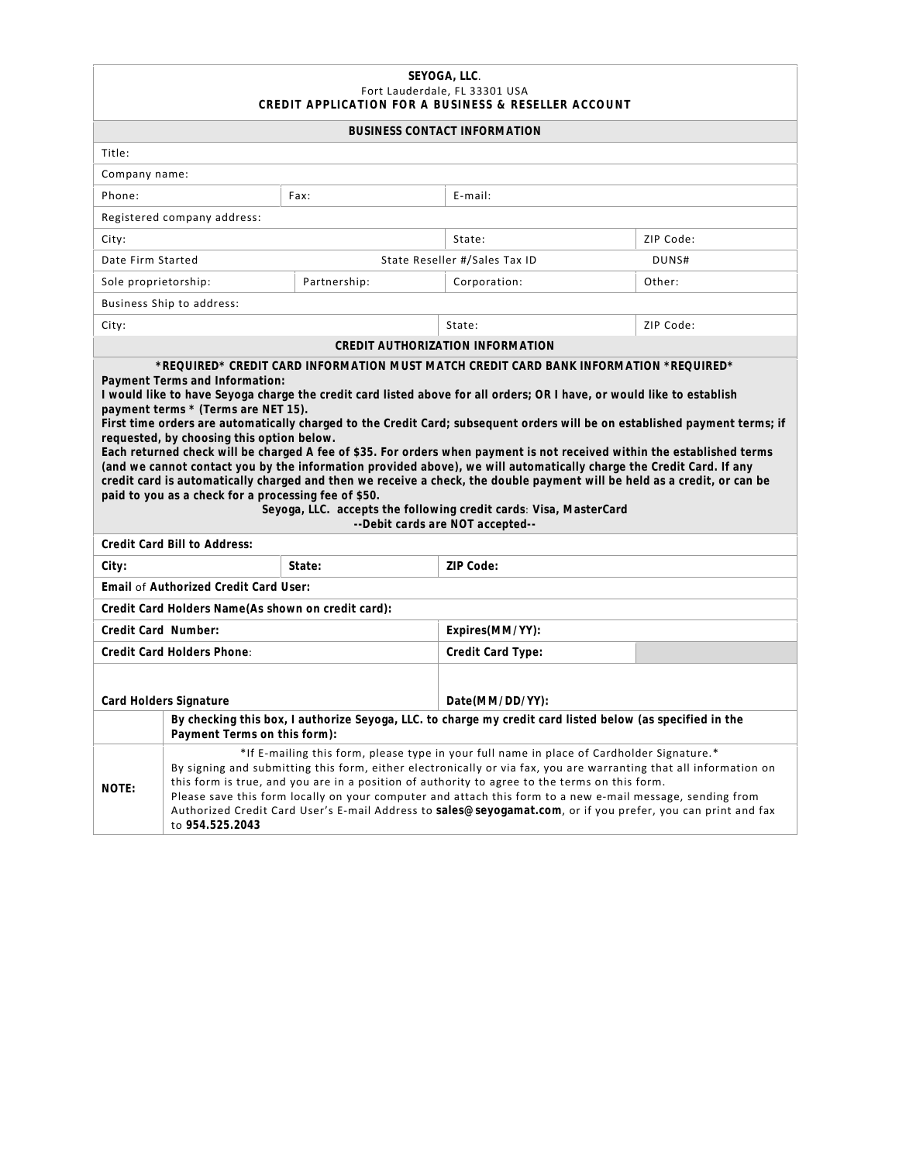## **SEYOGA, LLC**. Fort Lauderdale, FL 33301 USA **CREDIT APPL ICATION FOR A BUS INE S S & RE S E L LER ACCOUNT**

| <b>BUSINESS CONTACT INFORMATION</b>                                                                                                                                                                                                                                                                                                                                                                                                                                                                                                                                                                                                                                                                                                                                                                                                                                                                                                                                                                               |                                                                                                                                                                                                                                                                                                                                                                                                                                                                                                                                                                 |                   |                               |           |  |  |
|-------------------------------------------------------------------------------------------------------------------------------------------------------------------------------------------------------------------------------------------------------------------------------------------------------------------------------------------------------------------------------------------------------------------------------------------------------------------------------------------------------------------------------------------------------------------------------------------------------------------------------------------------------------------------------------------------------------------------------------------------------------------------------------------------------------------------------------------------------------------------------------------------------------------------------------------------------------------------------------------------------------------|-----------------------------------------------------------------------------------------------------------------------------------------------------------------------------------------------------------------------------------------------------------------------------------------------------------------------------------------------------------------------------------------------------------------------------------------------------------------------------------------------------------------------------------------------------------------|-------------------|-------------------------------|-----------|--|--|
| Title:                                                                                                                                                                                                                                                                                                                                                                                                                                                                                                                                                                                                                                                                                                                                                                                                                                                                                                                                                                                                            |                                                                                                                                                                                                                                                                                                                                                                                                                                                                                                                                                                 |                   |                               |           |  |  |
| Company name:                                                                                                                                                                                                                                                                                                                                                                                                                                                                                                                                                                                                                                                                                                                                                                                                                                                                                                                                                                                                     |                                                                                                                                                                                                                                                                                                                                                                                                                                                                                                                                                                 |                   |                               |           |  |  |
| Phone:                                                                                                                                                                                                                                                                                                                                                                                                                                                                                                                                                                                                                                                                                                                                                                                                                                                                                                                                                                                                            |                                                                                                                                                                                                                                                                                                                                                                                                                                                                                                                                                                 | Fax:              | E-mail:                       |           |  |  |
| Registered company address:                                                                                                                                                                                                                                                                                                                                                                                                                                                                                                                                                                                                                                                                                                                                                                                                                                                                                                                                                                                       |                                                                                                                                                                                                                                                                                                                                                                                                                                                                                                                                                                 |                   |                               |           |  |  |
| City:                                                                                                                                                                                                                                                                                                                                                                                                                                                                                                                                                                                                                                                                                                                                                                                                                                                                                                                                                                                                             |                                                                                                                                                                                                                                                                                                                                                                                                                                                                                                                                                                 | State:            | ZIP Code:                     |           |  |  |
| Date Firm Started                                                                                                                                                                                                                                                                                                                                                                                                                                                                                                                                                                                                                                                                                                                                                                                                                                                                                                                                                                                                 |                                                                                                                                                                                                                                                                                                                                                                                                                                                                                                                                                                 |                   | State Reseller #/Sales Tax ID | DUNS#     |  |  |
| Sole proprietorship:                                                                                                                                                                                                                                                                                                                                                                                                                                                                                                                                                                                                                                                                                                                                                                                                                                                                                                                                                                                              |                                                                                                                                                                                                                                                                                                                                                                                                                                                                                                                                                                 | Partnership:      | Corporation:                  | Other:    |  |  |
| Business Ship to address:                                                                                                                                                                                                                                                                                                                                                                                                                                                                                                                                                                                                                                                                                                                                                                                                                                                                                                                                                                                         |                                                                                                                                                                                                                                                                                                                                                                                                                                                                                                                                                                 |                   |                               |           |  |  |
| City:                                                                                                                                                                                                                                                                                                                                                                                                                                                                                                                                                                                                                                                                                                                                                                                                                                                                                                                                                                                                             |                                                                                                                                                                                                                                                                                                                                                                                                                                                                                                                                                                 |                   | State:                        | ZIP Code: |  |  |
| CREDIT AUTHORIZATION INFORMATION                                                                                                                                                                                                                                                                                                                                                                                                                                                                                                                                                                                                                                                                                                                                                                                                                                                                                                                                                                                  |                                                                                                                                                                                                                                                                                                                                                                                                                                                                                                                                                                 |                   |                               |           |  |  |
| *REQUIRED* CREDIT CARD INFORMATION MUST MATCH CREDIT CARD BANK INFORMATION *REQUIRED*<br>Payment Terms and Information:<br>I would like to have Seyoga charge the credit card listed above for all orders; OR I have, or would like to establish<br>payment terms * (Terms are NET 15).<br>First time orders are automatically charged to the Credit Card; subsequent orders will be on established payment terms; if<br>requested, by choosing this option below.<br>Each returned check will be charged A fee of \$35. For orders when payment is not received within the established terms<br>(and we cannot contact you by the information provided above), we will automatically charge the Credit Card. If any<br>credit card is automatically charged and then we receive a check, the double payment will be held as a credit, or can be<br>paid to you as a check for a processing fee of \$50.<br>Seyoga, LLC. accepts the following credit cards: Visa, MasterCard<br>--Debit cards are NOT accepted-- |                                                                                                                                                                                                                                                                                                                                                                                                                                                                                                                                                                 |                   |                               |           |  |  |
|                                                                                                                                                                                                                                                                                                                                                                                                                                                                                                                                                                                                                                                                                                                                                                                                                                                                                                                                                                                                                   | Credit Card Bill to Address:                                                                                                                                                                                                                                                                                                                                                                                                                                                                                                                                    |                   |                               |           |  |  |
| City:                                                                                                                                                                                                                                                                                                                                                                                                                                                                                                                                                                                                                                                                                                                                                                                                                                                                                                                                                                                                             |                                                                                                                                                                                                                                                                                                                                                                                                                                                                                                                                                                 | State:            | 7IP Code:                     |           |  |  |
|                                                                                                                                                                                                                                                                                                                                                                                                                                                                                                                                                                                                                                                                                                                                                                                                                                                                                                                                                                                                                   | Email of Authorized Credit Card User:                                                                                                                                                                                                                                                                                                                                                                                                                                                                                                                           |                   |                               |           |  |  |
|                                                                                                                                                                                                                                                                                                                                                                                                                                                                                                                                                                                                                                                                                                                                                                                                                                                                                                                                                                                                                   | Credit Card Holders Name (As shown on credit card):                                                                                                                                                                                                                                                                                                                                                                                                                                                                                                             |                   |                               |           |  |  |
| Credit Card Number:                                                                                                                                                                                                                                                                                                                                                                                                                                                                                                                                                                                                                                                                                                                                                                                                                                                                                                                                                                                               |                                                                                                                                                                                                                                                                                                                                                                                                                                                                                                                                                                 |                   | Expires(MM/YY):               |           |  |  |
| Credit Card Holders Phone:                                                                                                                                                                                                                                                                                                                                                                                                                                                                                                                                                                                                                                                                                                                                                                                                                                                                                                                                                                                        |                                                                                                                                                                                                                                                                                                                                                                                                                                                                                                                                                                 | Credit Card Type: |                               |           |  |  |
| Card Holders Signature                                                                                                                                                                                                                                                                                                                                                                                                                                                                                                                                                                                                                                                                                                                                                                                                                                                                                                                                                                                            |                                                                                                                                                                                                                                                                                                                                                                                                                                                                                                                                                                 | Date(MM/DD/YY):   |                               |           |  |  |
|                                                                                                                                                                                                                                                                                                                                                                                                                                                                                                                                                                                                                                                                                                                                                                                                                                                                                                                                                                                                                   | By checking this box, I authorize Seyoga, LLC. to charge my credit card listed below (as specified in the<br>Payment Terms on this form):                                                                                                                                                                                                                                                                                                                                                                                                                       |                   |                               |           |  |  |
| NOTE:                                                                                                                                                                                                                                                                                                                                                                                                                                                                                                                                                                                                                                                                                                                                                                                                                                                                                                                                                                                                             | *If E-mailing this form, please type in your full name in place of Cardholder Signature.*<br>By signing and submitting this form, either electronically or via fax, you are warranting that all information on<br>this form is true, and you are in a position of authority to agree to the terms on this form.<br>Please save this form locally on your computer and attach this form to a new e-mail message, sending from<br>Authorized Credit Card User's E-mail Address to sales@seyogamat.com, or if you prefer, you can print and fax<br>to 954.525.2043 |                   |                               |           |  |  |